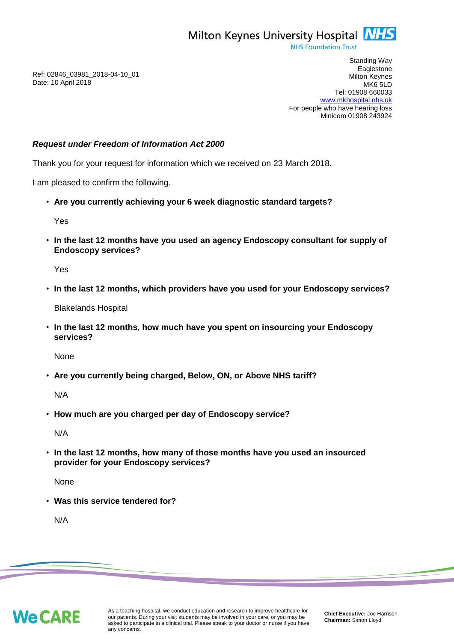

**NHS Foundation Trust** 

Ref: 02846\_03981\_2018-04-10\_01 Date: 10 April 2018

Standing Way **Eaglestone** Milton Keynes MK6 5LD Tel: 01908 660033 [www.mkhospital.nhs.uk](http://www.mkhospital.nhs.uk/) For people who have hearing loss Minicom 01908 243924

## *Request under Freedom of Information Act 2000*

Thank you for your request for information which we received on 23 March 2018.

I am pleased to confirm the following.

• **Are you currently achieving your 6 week diagnostic standard targets?**

Yes

• **In the last 12 months have you used an agency Endoscopy consultant for supply of Endoscopy services?**

Yes

• **In the last 12 months, which providers have you used for your Endoscopy services?**

Blakelands Hospital

• **In the last 12 months, how much have you spent on insourcing your Endoscopy services?**

None

• **Are you currently being charged, Below, ON, or Above NHS tariff?**

N/A

• **How much are you charged per day of Endoscopy service?**

N/A

• **In the last 12 months, how many of those months have you used an insourced provider for your Endoscopy services?** 

None

• **Was this service tendered for?**

N/A